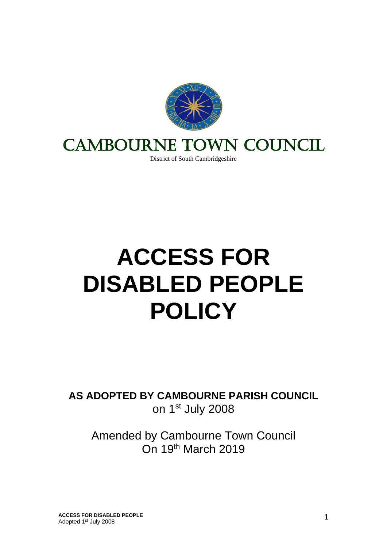

# CAMBOURNE TOWN COUNCIL

District of South Cambridgeshire

# **ACCESS FOR DISABLED PEOPLE POLICY**

**AS ADOPTED BY CAMBOURNE PARISH COUNCIL** on 1st July 2008

Amended by Cambourne Town Council On 19th March 2019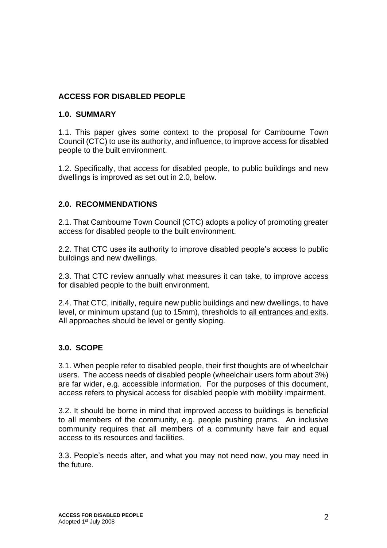#### **ACCESS FOR DISABLED PEOPLE**

#### **1.0. SUMMARY**

1.1. This paper gives some context to the proposal for Cambourne Town Council (CTC) to use its authority, and influence, to improve access for disabled people to the built environment.

1.2. Specifically, that access for disabled people, to public buildings and new dwellings is improved as set out in 2.0, below.

#### **2.0. RECOMMENDATIONS**

2.1. That Cambourne Town Council (CTC) adopts a policy of promoting greater access for disabled people to the built environment.

2.2. That CTC uses its authority to improve disabled people's access to public buildings and new dwellings.

2.3. That CTC review annually what measures it can take, to improve access for disabled people to the built environment.

2.4. That CTC, initially, require new public buildings and new dwellings, to have level, or minimum upstand (up to 15mm), thresholds to all entrances and exits. All approaches should be level or gently sloping.

#### **3.0. SCOPE**

3.1. When people refer to disabled people, their first thoughts are of wheelchair users. The access needs of disabled people (wheelchair users form about 3%) are far wider, e.g. accessible information. For the purposes of this document, access refers to physical access for disabled people with mobility impairment.

3.2. It should be borne in mind that improved access to buildings is beneficial to all members of the community, e.g. people pushing prams. An inclusive community requires that all members of a community have fair and equal access to its resources and facilities.

3.3. People's needs alter, and what you may not need now, you may need in the future.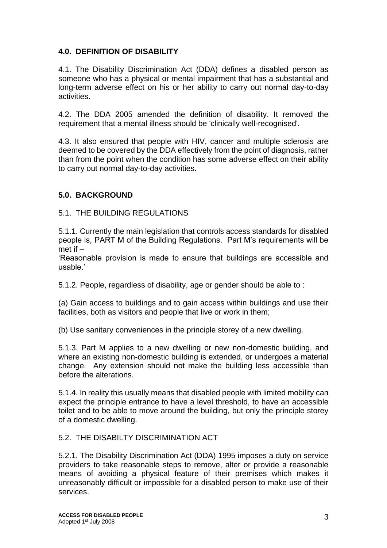#### **4.0. DEFINITION OF DISABILITY**

4.1. The Disability Discrimination Act (DDA) defines a disabled person as someone who has a physical or mental impairment that has a substantial and long-term adverse effect on his or her ability to carry out normal day-to-day activities.

4.2. The DDA 2005 amended the definition of disability. It removed the requirement that a mental illness should be 'clinically well-recognised'.

4.3. It also ensured that people with HIV, cancer and multiple sclerosis are deemed to be covered by the DDA effectively from the point of diagnosis, rather than from the point when the condition has some adverse effect on their ability to carry out normal day-to-day activities.

#### **5.0. BACKGROUND**

#### 5.1. THE BUILDING REGULATIONS

5.1.1. Currently the main legislation that controls access standards for disabled people is, PART M of the Building Regulations. Part M's requirements will be met if –

'Reasonable provision is made to ensure that buildings are accessible and usable.'

5.1.2. People, regardless of disability, age or gender should be able to :

(a) Gain access to buildings and to gain access within buildings and use their facilities, both as visitors and people that live or work in them;

(b) Use sanitary conveniences in the principle storey of a new dwelling.

5.1.3. Part M applies to a new dwelling or new non-domestic building, and where an existing non-domestic building is extended, or undergoes a material change. Any extension should not make the building less accessible than before the alterations.

5.1.4. In reality this usually means that disabled people with limited mobility can expect the principle entrance to have a level threshold, to have an accessible toilet and to be able to move around the building, but only the principle storey of a domestic dwelling.

#### 5.2. THE DISABILTY DISCRIMINATION ACT

5.2.1. The Disability Discrimination Act (DDA) 1995 imposes a duty on service providers to take reasonable steps to remove, alter or provide a reasonable means of avoiding a physical feature of their premises which makes it unreasonably difficult or impossible for a disabled person to make use of their services.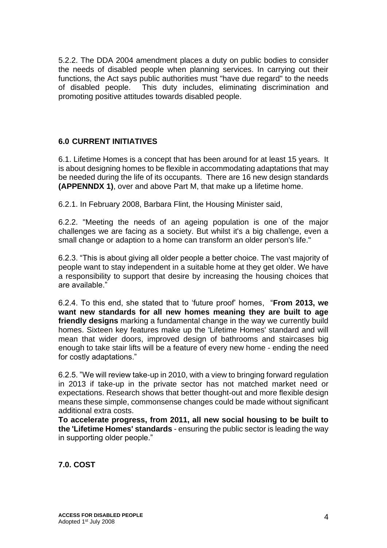5.2.2. The DDA 2004 amendment places a duty on public bodies to consider the needs of disabled people when planning services. In carrying out their functions, the Act says public authorities must "have due regard" to the needs of disabled people. This duty includes, eliminating discrimination and promoting positive attitudes towards disabled people.

#### **6.0 CURRENT INITIATIVES**

6.1. Lifetime Homes is a concept that has been around for at least 15 years. It is about designing homes to be flexible in accommodating adaptations that may be needed during the life of its occupants. There are 16 new design standards **(APPENNDX 1)**, over and above Part M, that make up a lifetime home.

6.2.1. In February 2008, Barbara Flint, the Housing Minister said,

6.2.2. "Meeting the needs of an ageing population is one of the major challenges we are facing as a society. But whilst it's a big challenge, even a small change or adaption to a home can transform an older person's life."

6.2.3. "This is about giving all older people a better choice. The vast majority of people want to stay independent in a suitable home at they get older. We have a responsibility to support that desire by increasing the housing choices that are available."

6.2.4. To this end, she stated that to 'future proof' homes, "**From 2013, we want new standards for all new homes meaning they are built to age friendly designs** marking a fundamental change in the way we currently build homes. Sixteen key features make up the 'Lifetime Homes' standard and will mean that wider doors, improved design of bathrooms and staircases big enough to take stair lifts will be a feature of every new home - ending the need for costly adaptations."

6.2.5. "We will review take-up in 2010, with a view to bringing forward regulation in 2013 if take-up in the private sector has not matched market need or expectations. Research shows that better thought-out and more flexible design means these simple, commonsense changes could be made without significant additional extra costs.

**To accelerate progress, from 2011, all new social housing to be built to the 'Lifetime Homes' standards** - ensuring the public sector is leading the way in supporting older people."

**7.0. COST**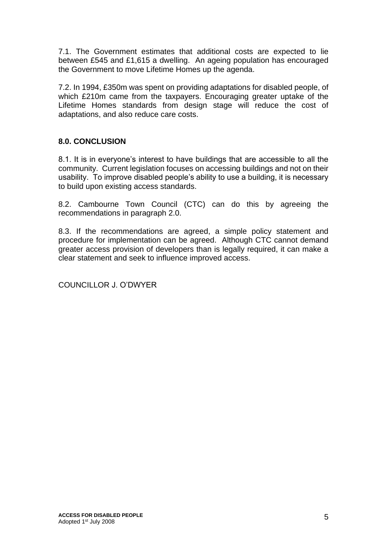7.1. The Government estimates that additional costs are expected to lie between £545 and £1,615 a dwelling. An ageing population has encouraged the Government to move Lifetime Homes up the agenda.

7.2. In 1994, £350m was spent on providing adaptations for disabled people, of which £210m came from the taxpayers. Encouraging greater uptake of the Lifetime Homes standards from design stage will reduce the cost of adaptations, and also reduce care costs.

## **8.0. CONCLUSION**

8.1. It is in everyone's interest to have buildings that are accessible to all the community. Current legislation focuses on accessing buildings and not on their usability. To improve disabled people's ability to use a building, it is necessary to build upon existing access standards.

8.2. Cambourne Town Council (CTC) can do this by agreeing the recommendations in paragraph 2.0.

8.3. If the recommendations are agreed, a simple policy statement and procedure for implementation can be agreed. Although CTC cannot demand greater access provision of developers than is legally required, it can make a clear statement and seek to influence improved access.

COUNCILLOR J. O'DWYER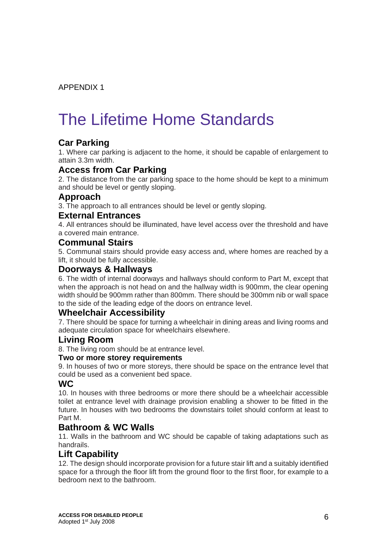APPENDIX 1

# The Lifetime Home Standards

# **Car Parking**

1. Where car parking is adjacent to the home, it should be capable of enlargement to attain 3.3m width.

#### **Access from Car Parking**

2. The distance from the car parking space to the home should be kept to a minimum and should be level or gently sloping.

#### **Approach**

3. The approach to all entrances should be level or gently sloping.

#### **External Entrances**

4. All entrances should be illuminated, have level access over the threshold and have a covered main entrance.

#### **Communal Stairs**

5. Communal stairs should provide easy access and, where homes are reached by a lift, it should be fully accessible.

#### **Doorways & Hallways**

6. The width of internal doorways and hallways should conform to Part M, except that when the approach is not head on and the hallway width is 900mm, the clear opening width should be 900mm rather than 800mm. There should be 300mm nib or wall space to the side of the leading edge of the doors on entrance level.

## **Wheelchair Accessibility**

7. There should be space for turning a wheelchair in dining areas and living rooms and adequate circulation space for wheelchairs elsewhere.

#### **Living Room**

8. The living room should be at entrance level.

#### **Two or more storey requirements**

9. In houses of two or more storeys, there should be space on the entrance level that could be used as a convenient bed space.

#### **WC**

10. In houses with three bedrooms or more there should be a wheelchair accessible toilet at entrance level with drainage provision enabling a shower to be fitted in the future. In houses with two bedrooms the downstairs toilet should conform at least to Part M.

## **Bathroom & WC Walls**

11. Walls in the bathroom and WC should be capable of taking adaptations such as handrails.

#### **Lift Capability**

12. The design should incorporate provision for a future stair lift and a suitably identified space for a through the floor lift from the ground floor to the first floor, for example to a bedroom next to the bathroom.